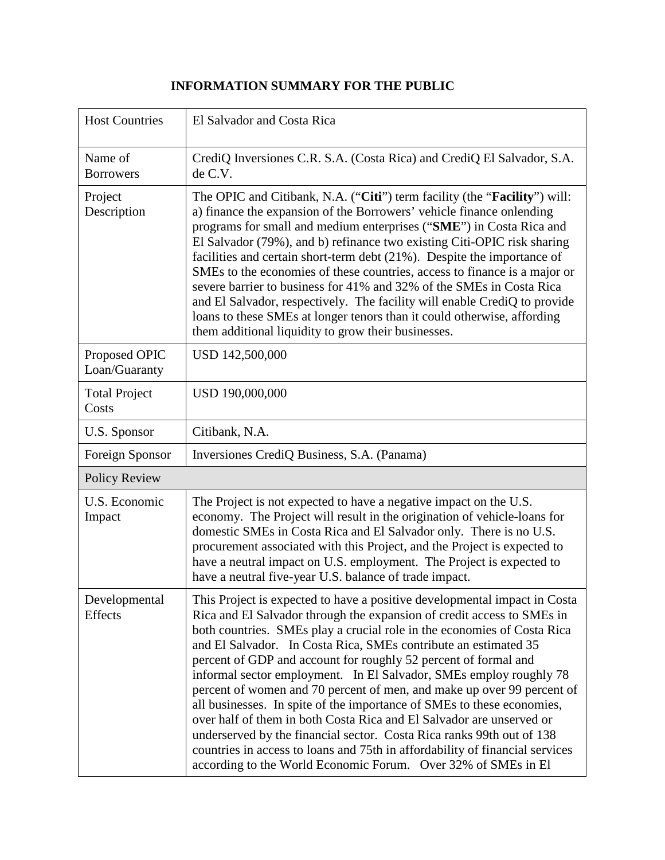## **INFORMATION SUMMARY FOR THE PUBLIC**

| <b>Host Countries</b>          | El Salvador and Costa Rica                                                                                                                                                                                                                                                                                                                                                                                                                                                                                                                                                                                                                                                                                                                                                                                                                                                                       |  |
|--------------------------------|--------------------------------------------------------------------------------------------------------------------------------------------------------------------------------------------------------------------------------------------------------------------------------------------------------------------------------------------------------------------------------------------------------------------------------------------------------------------------------------------------------------------------------------------------------------------------------------------------------------------------------------------------------------------------------------------------------------------------------------------------------------------------------------------------------------------------------------------------------------------------------------------------|--|
| Name of<br><b>Borrowers</b>    | CrediQ Inversiones C.R. S.A. (Costa Rica) and CrediQ El Salvador, S.A.<br>de C.V.                                                                                                                                                                                                                                                                                                                                                                                                                                                                                                                                                                                                                                                                                                                                                                                                                |  |
| Project<br>Description         | The OPIC and Citibank, N.A. ("Citi") term facility (the " <b>Facility</b> ") will:<br>a) finance the expansion of the Borrowers' vehicle finance onlending<br>programs for small and medium enterprises ("SME") in Costa Rica and<br>El Salvador (79%), and b) refinance two existing Citi-OPIC risk sharing<br>facilities and certain short-term debt (21%). Despite the importance of<br>SMEs to the economies of these countries, access to finance is a major or<br>severe barrier to business for 41% and 32% of the SMEs in Costa Rica<br>and El Salvador, respectively. The facility will enable CrediQ to provide<br>loans to these SMEs at longer tenors than it could otherwise, affording<br>them additional liquidity to grow their businesses.                                                                                                                                      |  |
| Proposed OPIC<br>Loan/Guaranty | USD 142,500,000                                                                                                                                                                                                                                                                                                                                                                                                                                                                                                                                                                                                                                                                                                                                                                                                                                                                                  |  |
| <b>Total Project</b><br>Costs  | USD 190,000,000                                                                                                                                                                                                                                                                                                                                                                                                                                                                                                                                                                                                                                                                                                                                                                                                                                                                                  |  |
| U.S. Sponsor                   | Citibank, N.A.                                                                                                                                                                                                                                                                                                                                                                                                                                                                                                                                                                                                                                                                                                                                                                                                                                                                                   |  |
| Foreign Sponsor                | Inversiones CrediQ Business, S.A. (Panama)                                                                                                                                                                                                                                                                                                                                                                                                                                                                                                                                                                                                                                                                                                                                                                                                                                                       |  |
| <b>Policy Review</b>           |                                                                                                                                                                                                                                                                                                                                                                                                                                                                                                                                                                                                                                                                                                                                                                                                                                                                                                  |  |
| U.S. Economic<br>Impact        | The Project is not expected to have a negative impact on the U.S.<br>economy. The Project will result in the origination of vehicle-loans for<br>domestic SMEs in Costa Rica and El Salvador only. There is no U.S.<br>procurement associated with this Project, and the Project is expected to<br>have a neutral impact on U.S. employment. The Project is expected to<br>have a neutral five-year U.S. balance of trade impact.                                                                                                                                                                                                                                                                                                                                                                                                                                                                |  |
| Developmental<br>Effects       | This Project is expected to have a positive developmental impact in Costa<br>Rica and El Salvador through the expansion of credit access to SMEs in<br>both countries. SMEs play a crucial role in the economies of Costa Rica<br>and El Salvador. In Costa Rica, SMEs contribute an estimated 35<br>percent of GDP and account for roughly 52 percent of formal and<br>informal sector employment. In El Salvador, SMEs employ roughly 78<br>percent of women and 70 percent of men, and make up over 99 percent of<br>all businesses. In spite of the importance of SMEs to these economies,<br>over half of them in both Costa Rica and El Salvador are unserved or<br>underserved by the financial sector. Costa Rica ranks 99th out of 138<br>countries in access to loans and 75th in affordability of financial services<br>according to the World Economic Forum. Over 32% of SMEs in El |  |